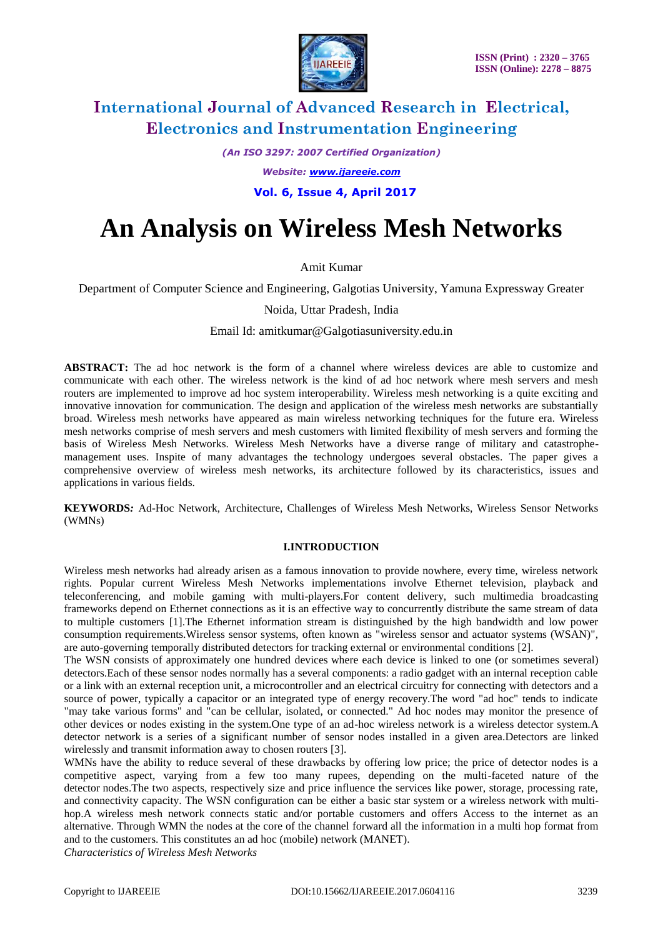

*(An ISO 3297: 2007 Certified Organization)*

*Website: [www.ijareeie.com](http://www.ijareeie.com/)*

 **Vol. 6, Issue 4, April 2017**

# **An Analysis on Wireless Mesh Networks**

Amit Kumar

Department of Computer Science and Engineering, Galgotias University, Yamuna Expressway Greater

Noida, Uttar Pradesh, India

Email Id: amitkumar@Galgotiasuniversity.edu.in

**ABSTRACT:** The ad hoc network is the form of a channel where wireless devices are able to customize and communicate with each other. The wireless network is the kind of ad hoc network where mesh servers and mesh routers are implemented to improve ad hoc system interoperability. Wireless mesh networking is a quite exciting and innovative innovation for communication. The design and application of the wireless mesh networks are substantially broad. Wireless mesh networks have appeared as main wireless networking techniques for the future era. Wireless mesh networks comprise of mesh servers and mesh customers with limited flexibility of mesh servers and forming the basis of Wireless Mesh Networks. Wireless Mesh Networks have a diverse range of military and catastrophemanagement uses. Inspite of many advantages the technology undergoes several obstacles. The paper gives a comprehensive overview of wireless mesh networks, its architecture followed by its characteristics, issues and applications in various fields.

**KEYWORDS***:* Ad-Hoc Network, Architecture, Challenges of Wireless Mesh Networks, Wireless Sensor Networks (WMNs)

### **I.INTRODUCTION**

Wireless mesh networks had already arisen as a famous innovation to provide nowhere, every time, wireless network rights. Popular current Wireless Mesh Networks implementations involve Ethernet television, playback and teleconferencing, and mobile gaming with multi-players.For content delivery, such multimedia broadcasting frameworks depend on Ethernet connections as it is an effective way to concurrently distribute the same stream of data to multiple customers [1].The Ethernet information stream is distinguished by the high bandwidth and low power consumption requirements.Wireless sensor systems, often known as "wireless sensor and actuator systems (WSAN)", are auto-governing temporally distributed detectors for tracking external or environmental conditions [2].

The WSN consists of approximately one hundred devices where each device is linked to one (or sometimes several) detectors.Each of these sensor nodes normally has a several components: a radio gadget with an internal reception cable or a link with an external reception unit, a microcontroller and an electrical circuitry for connecting with detectors and a source of power, typically a capacitor or an integrated type of energy recovery.The word "ad hoc" tends to indicate "may take various forms" and "can be cellular, isolated, or connected." Ad hoc nodes may monitor the presence of other devices or nodes existing in the system.One type of an ad-hoc wireless network is a wireless detector system.A detector network is a series of a significant number of sensor nodes installed in a given area.Detectors are linked wirelessly and transmit information away to chosen routers [3].

WMNs have the ability to reduce several of these drawbacks by offering low price; the price of detector nodes is a competitive aspect, varying from a few too many rupees, depending on the multi-faceted nature of the detector nodes.The two aspects, respectively size and price influence the services like power, storage, processing rate, and connectivity capacity. The WSN configuration can be either a basic star system or a wireless network with multihop.A wireless mesh network connects static and/or portable customers and offers Access to the internet as an alternative. Through WMN the nodes at the core of the channel forward all the information in a multi hop format from and to the customers. This constitutes an ad hoc (mobile) network (MANET).

*Characteristics of Wireless Mesh Networks*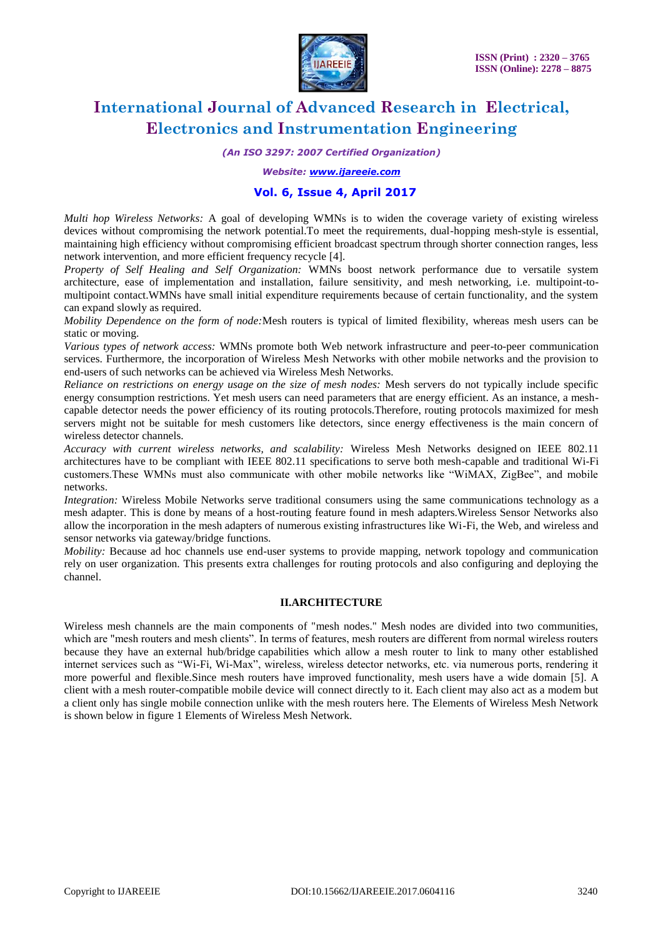

*(An ISO 3297: 2007 Certified Organization)*

*Website: [www.ijareeie.com](http://www.ijareeie.com/)*

### **Vol. 6, Issue 4, April 2017**

*Multi hop Wireless Networks:* A goal of developing WMNs is to widen the coverage variety of existing wireless devices without compromising the network potential.To meet the requirements, dual-hopping mesh-style is essential, maintaining high efficiency without compromising efficient broadcast spectrum through shorter connection ranges, less network intervention, and more efficient frequency recycle [4].

*Property of Self Healing and Self Organization:* WMNs boost network performance due to versatile system architecture, ease of implementation and installation, failure sensitivity, and mesh networking, i.e. multipoint-tomultipoint contact.WMNs have small initial expenditure requirements because of certain functionality, and the system can expand slowly as required.

*Mobility Dependence on the form of node:*Mesh routers is typical of limited flexibility, whereas mesh users can be static or moving.

*Various types of network access:* WMNs promote both Web network infrastructure and peer-to-peer communication services. Furthermore, the incorporation of Wireless Mesh Networks with other mobile networks and the provision to end-users of such networks can be achieved via Wireless Mesh Networks.

*Reliance on restrictions on energy usage on the size of mesh nodes:* Mesh servers do not typically include specific energy consumption restrictions. Yet mesh users can need parameters that are energy efficient. As an instance, a meshcapable detector needs the power efficiency of its routing protocols.Therefore, routing protocols maximized for mesh servers might not be suitable for mesh customers like detectors, since energy effectiveness is the main concern of wireless detector channels.

*Accuracy with current wireless networks, and scalability:* Wireless Mesh Networks designed on IEEE 802.11 architectures have to be compliant with IEEE 802.11 specifications to serve both mesh-capable and traditional Wi-Fi customers.These WMNs must also communicate with other mobile networks like "WiMAX, ZigBee", and mobile networks.

*Integration:* Wireless Mobile Networks serve traditional consumers using the same communications technology as a mesh adapter. This is done by means of a host-routing feature found in mesh adapters.Wireless Sensor Networks also allow the incorporation in the mesh adapters of numerous existing infrastructures like Wi-Fi, the Web, and wireless and sensor networks via gateway/bridge functions.

*Mobility:* Because ad hoc channels use end-user systems to provide mapping, network topology and communication rely on user organization. This presents extra challenges for routing protocols and also configuring and deploying the channel.

#### **II.ARCHITECTURE**

Wireless mesh channels are the main components of "mesh nodes." Mesh nodes are divided into two communities, which are "mesh routers and mesh clients". In terms of features, mesh routers are different from normal wireless routers because they have an external hub/bridge capabilities which allow a mesh router to link to many other established internet services such as "Wi-Fi, Wi-Max", wireless, wireless detector networks, etc. via numerous ports, rendering it more powerful and flexible.Since mesh routers have improved functionality, mesh users have a wide domain [5]. A client with a mesh router-compatible mobile device will connect directly to it. Each client may also act as a modem but a client only has single mobile connection unlike with the mesh routers here. The Elements of Wireless Mesh Network is shown below in figure 1 Elements of Wireless Mesh Network.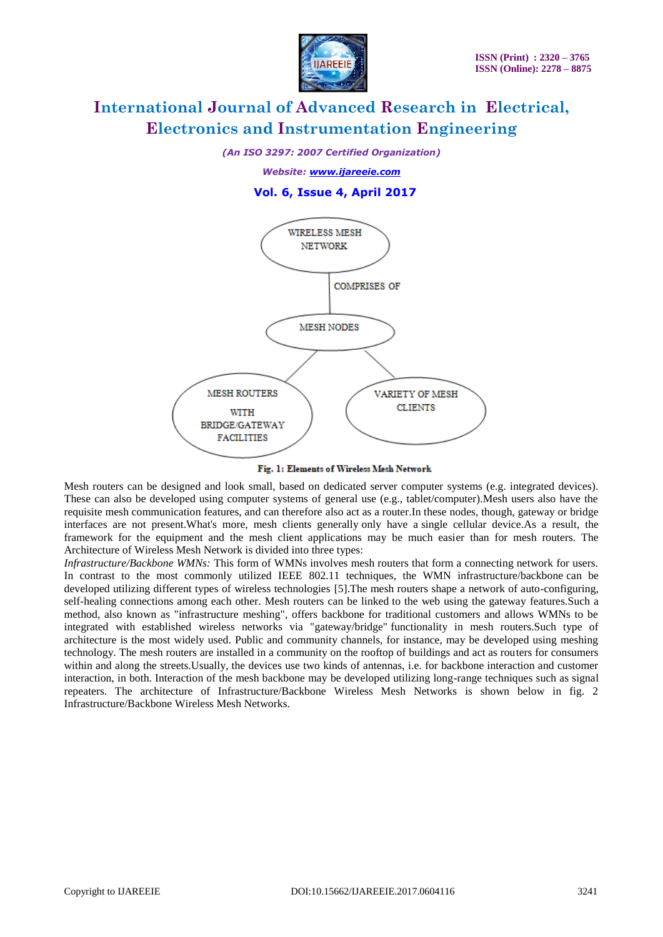

*(An ISO 3297: 2007 Certified Organization)*

*Website: [www.ijareeie.com](http://www.ijareeie.com/)*

### **Vol. 6, Issue 4, April 2017**



Fig. 1: Elements of Wireless Mesh Network

Mesh routers can be designed and look small, based on dedicated server computer systems (e.g. integrated devices). These can also be developed using computer systems of general use (e.g., tablet/computer).Mesh users also have the requisite mesh communication features, and can therefore also act as a router.In these nodes, though, gateway or bridge interfaces are not present.What's more, mesh clients generally only have a single cellular device.As a result, the framework for the equipment and the mesh client applications may be much easier than for mesh routers. The Architecture of Wireless Mesh Network is divided into three types:

*Infrastructure/Backbone WMNs:* This form of WMNs involves mesh routers that form a connecting network for users. In contrast to the most commonly utilized IEEE 802.11 techniques, the WMN infrastructure/backbone can be developed utilizing different types of wireless technologies [5].The mesh routers shape a network of auto-configuring, self-healing connections among each other. Mesh routers can be linked to the web using the gateway features.Such a method, also known as "infrastructure meshing", offers backbone for traditional customers and allows WMNs to be integrated with established wireless networks via "gateway/bridge" functionality in mesh routers.Such type of architecture is the most widely used. Public and community channels, for instance, may be developed using meshing technology. The mesh routers are installed in a community on the rooftop of buildings and act as routers for consumers within and along the streets.Usually, the devices use two kinds of antennas, i.e. for backbone interaction and customer interaction, in both. Interaction of the mesh backbone may be developed utilizing long-range techniques such as signal repeaters. The architecture of Infrastructure/Backbone Wireless Mesh Networks is shown below in fig. 2 Infrastructure/Backbone Wireless Mesh Networks.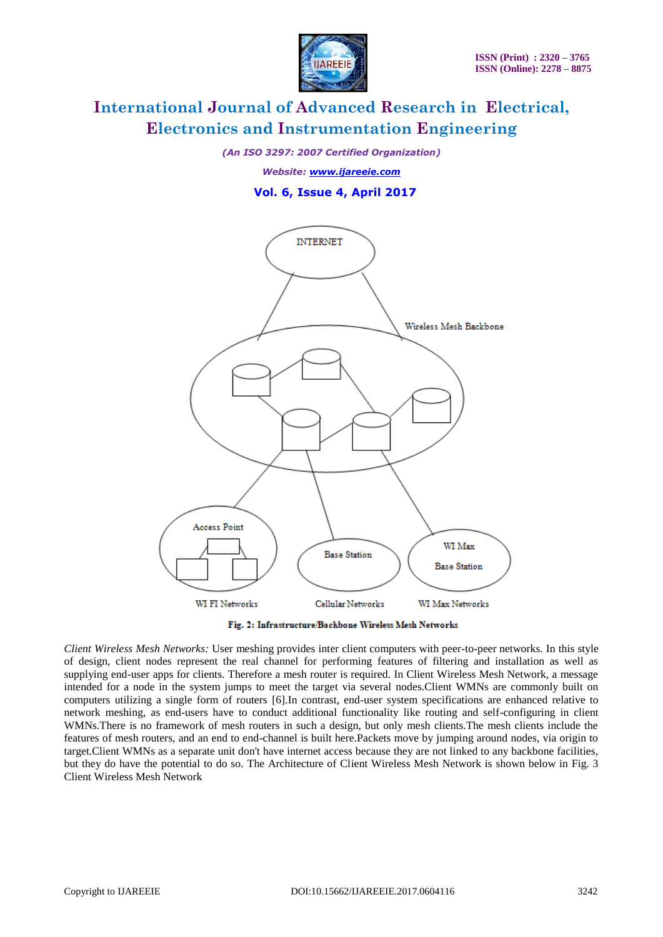

*(An ISO 3297: 2007 Certified Organization)*

*Website: [www.ijareeie.com](http://www.ijareeie.com/)*

### **Vol. 6, Issue 4, April 2017**



Fig. 2: Infrastructure/Backbone Wireless Mesh Networks

*Client Wireless Mesh Networks:* User meshing provides inter client computers with peer-to-peer networks. In this style of design, client nodes represent the real channel for performing features of filtering and installation as well as supplying end-user apps for clients. Therefore a mesh router is required. In Client Wireless Mesh Network, a message intended for a node in the system jumps to meet the target via several nodes.Client WMNs are commonly built on computers utilizing a single form of routers [6].In contrast, end-user system specifications are enhanced relative to network meshing, as end-users have to conduct additional functionality like routing and self-configuring in client WMNs.There is no framework of mesh routers in such a design, but only mesh clients.The mesh clients include the features of mesh routers, and an end to end-channel is built here.Packets move by jumping around nodes, via origin to target.Client WMNs as a separate unit don't have internet access because they are not linked to any backbone facilities, but they do have the potential to do so. The Architecture of Client Wireless Mesh Network is shown below in Fig. 3 Client Wireless Mesh Network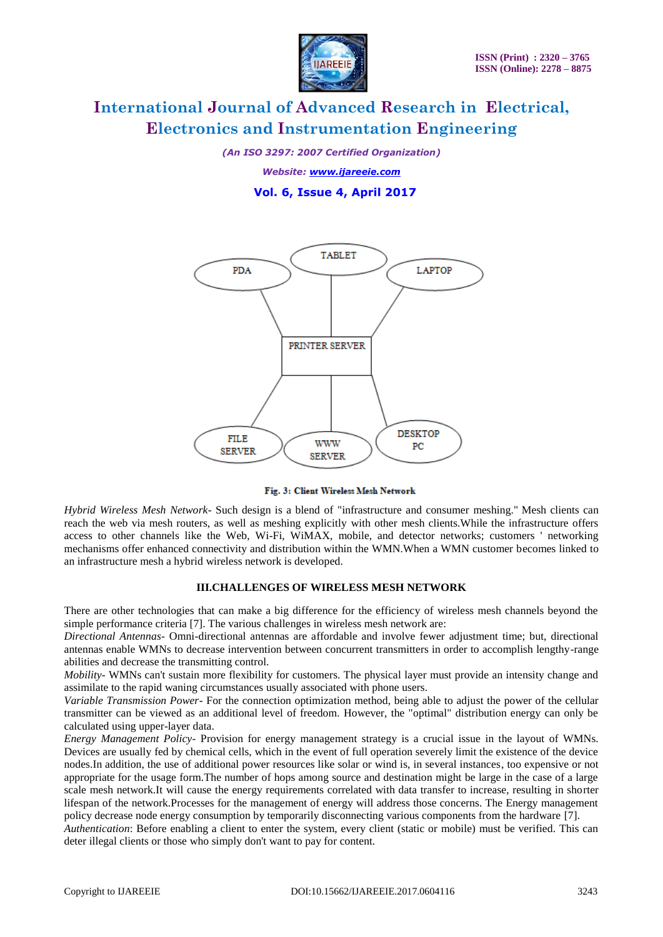

*(An ISO 3297: 2007 Certified Organization)*

*Website: [www.ijareeie.com](http://www.ijareeie.com/)*

 **Vol. 6, Issue 4, April 2017**



Fig. 3: Client Wireless Mesh Network

*Hybrid Wireless Mesh Network*- Such design is a blend of "infrastructure and consumer meshing." Mesh clients can reach the web via mesh routers, as well as meshing explicitly with other mesh clients.While the infrastructure offers access to other channels like the Web, Wi-Fi, WiMAX, mobile, and detector networks; customers ' networking mechanisms offer enhanced connectivity and distribution within the WMN.When a WMN customer becomes linked to an infrastructure mesh a hybrid wireless network is developed.

#### **III.CHALLENGES OF WIRELESS MESH NETWORK**

There are other technologies that can make a big difference for the efficiency of wireless mesh channels beyond the simple performance criteria [7]. The various challenges in wireless mesh network are:

*Directional Antennas-* Omni-directional antennas are affordable and involve fewer adjustment time; but, directional antennas enable WMNs to decrease intervention between concurrent transmitters in order to accomplish lengthy-range abilities and decrease the transmitting control.

*Mobility*- WMNs can't sustain more flexibility for customers. The physical layer must provide an intensity change and assimilate to the rapid waning circumstances usually associated with phone users.

*Variable Transmission Power-* For the connection optimization method, being able to adjust the power of the cellular transmitter can be viewed as an additional level of freedom. However, the "optimal" distribution energy can only be calculated using upper-layer data.

*Energy Management Policy-* Provision for energy management strategy is a crucial issue in the layout of WMNs. Devices are usually fed by chemical cells, which in the event of full operation severely limit the existence of the device nodes.In addition, the use of additional power resources like solar or wind is, in several instances, too expensive or not appropriate for the usage form.The number of hops among source and destination might be large in the case of a large scale mesh network.It will cause the energy requirements correlated with data transfer to increase, resulting in shorter lifespan of the network.Processes for the management of energy will address those concerns. The Energy management policy decrease node energy consumption by temporarily disconnecting various components from the hardware [7].

*Authentication*: Before enabling a client to enter the system, every client (static or mobile) must be verified. This can deter illegal clients or those who simply don't want to pay for content.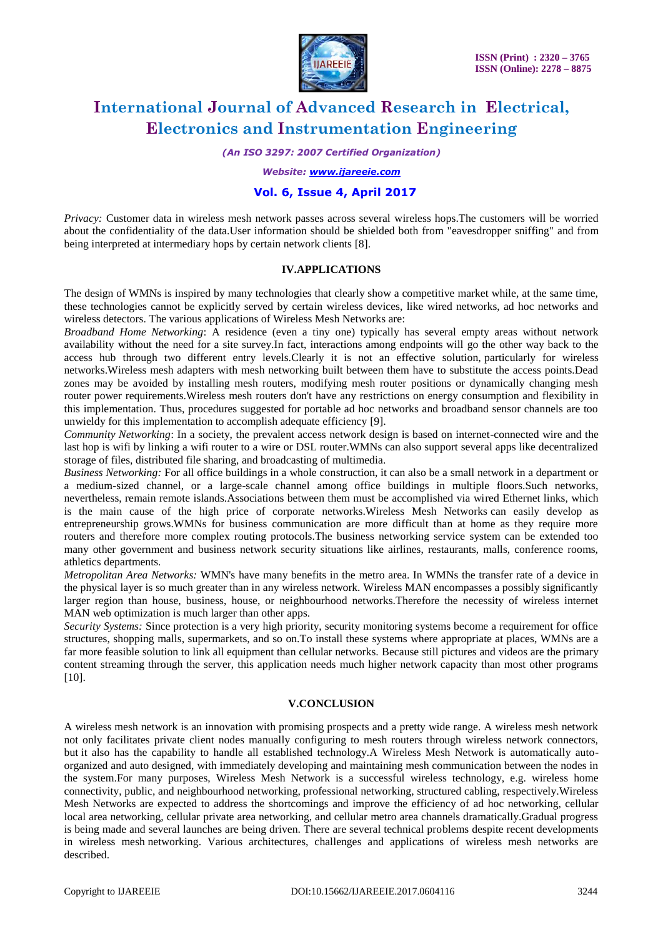

*(An ISO 3297: 2007 Certified Organization)*

*Website: [www.ijareeie.com](http://www.ijareeie.com/)*

### **Vol. 6, Issue 4, April 2017**

*Privacy:* Customer data in wireless mesh network passes across several wireless hops.The customers will be worried about the confidentiality of the data.User information should be shielded both from "eavesdropper sniffing" and from being interpreted at intermediary hops by certain network clients [8].

#### **IV.APPLICATIONS**

The design of WMNs is inspired by many technologies that clearly show a competitive market while, at the same time, these technologies cannot be explicitly served by certain wireless devices, like wired networks, ad hoc networks and wireless detectors. The various applications of Wireless Mesh Networks are:

*Broadband Home Networking*: A residence (even a tiny one) typically has several empty areas without network availability without the need for a site survey.In fact, interactions among endpoints will go the other way back to the access hub through two different entry levels.Clearly it is not an effective solution, particularly for wireless networks.Wireless mesh adapters with mesh networking built between them have to substitute the access points.Dead zones may be avoided by installing mesh routers, modifying mesh router positions or dynamically changing mesh router power requirements.Wireless mesh routers don't have any restrictions on energy consumption and flexibility in this implementation. Thus, procedures suggested for portable ad hoc networks and broadband sensor channels are too unwieldy for this implementation to accomplish adequate efficiency [9].

*Community Networking*: In a society, the prevalent access network design is based on internet-connected wire and the last hop is wifi by linking a wifi router to a wire or DSL router.WMNs can also support several apps like decentralized storage of files, distributed file sharing, and broadcasting of multimedia.

*Business Networking:* For all office buildings in a whole construction, it can also be a small network in a department or a medium-sized channel, or a large-scale channel among office buildings in multiple floors.Such networks, nevertheless, remain remote islands.Associations between them must be accomplished via wired Ethernet links, which is the main cause of the high price of corporate networks.Wireless Mesh Networks can easily develop as entrepreneurship grows.WMNs for business communication are more difficult than at home as they require more routers and therefore more complex routing protocols.The business networking service system can be extended too many other government and business network security situations like airlines, restaurants, malls, conference rooms, athletics departments.

*Metropolitan Area Networks:* WMN's have many benefits in the metro area. In WMNs the transfer rate of a device in the physical layer is so much greater than in any wireless network. Wireless MAN encompasses a possibly significantly larger region than house, business, house, or neighbourhood networks.Therefore the necessity of wireless internet MAN web optimization is much larger than other apps.

*Security Systems:* Since protection is a very high priority, security monitoring systems become a requirement for office structures, shopping malls, supermarkets, and so on.To install these systems where appropriate at places, WMNs are a far more feasible solution to link all equipment than cellular networks. Because still pictures and videos are the primary content streaming through the server, this application needs much higher network capacity than most other programs [10].

### **V.CONCLUSION**

A wireless mesh network is an innovation with promising prospects and a pretty wide range. A wireless mesh network not only facilitates private client nodes manually configuring to mesh routers through wireless network connectors, but it also has the capability to handle all established technology.A Wireless Mesh Network is automatically autoorganized and auto designed, with immediately developing and maintaining mesh communication between the nodes in the system.For many purposes, Wireless Mesh Network is a successful wireless technology, e.g. wireless home connectivity, public, and neighbourhood networking, professional networking, structured cabling, respectively.Wireless Mesh Networks are expected to address the shortcomings and improve the efficiency of ad hoc networking, cellular local area networking, cellular private area networking, and cellular metro area channels dramatically.Gradual progress is being made and several launches are being driven. There are several technical problems despite recent developments in wireless mesh networking. Various architectures, challenges and applications of wireless mesh networks are described.